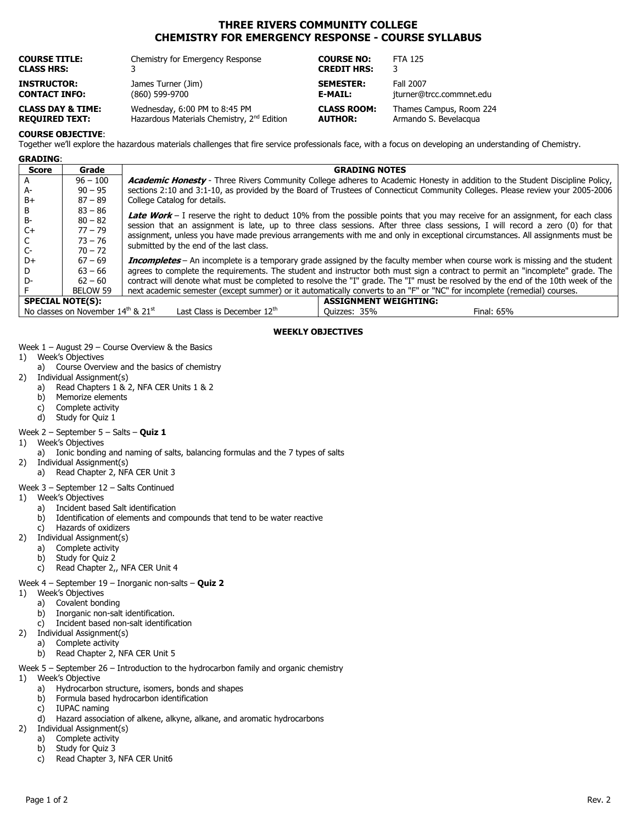# THREE RIVERS COMMUNITY COLLEGE CHEMISTRY FOR EMERGENCY RESPONSE - COURSE SYLLABUS

| <b>COURSE TITLE:</b>         | Chemistry for Emergency Response                       | <b>COURSE NO:</b>  | <b>FTA 125</b>           |
|------------------------------|--------------------------------------------------------|--------------------|--------------------------|
| <b>CLASS HRS:</b>            |                                                        | <b>CREDIT HRS:</b> | 3                        |
| <b>INSTRUCTOR:</b>           | James Turner (Jim)                                     | <b>SEMESTER:</b>   | Fall 2007                |
| <b>CONTACT INFO:</b>         | (860) 599-9700                                         | E-MAIL:            | jturner@trcc.commnet.edu |
| <b>CLASS DAY &amp; TIME:</b> | Wednesday, 6:00 PM to 8:45 PM                          | <b>CLASS ROOM:</b> | Thames Campus, Room 224  |
| <b>REQUIRED TEXT:</b>        | Hazardous Materials Chemistry, 2 <sup>nd</sup> Edition | <b>AUTHOR:</b>     | Armando S. Bevelacqua    |

### COURSE OBJECTIVE:

Together we'll explore the hazardous materials challenges that fire service professionals face, with a focus on developing an understanding of Chemistry.

|  | <b>GRADING:</b> |  |
|--|-----------------|--|
|  |                 |  |

| <b>Score</b>                                                                                    | Grade      | <b>GRADING NOTES</b>                                                                                                                                                                                                                                                                                      |  |  |  |
|-------------------------------------------------------------------------------------------------|------------|-----------------------------------------------------------------------------------------------------------------------------------------------------------------------------------------------------------------------------------------------------------------------------------------------------------|--|--|--|
|                                                                                                 | $96 - 100$ | <b>Academic Honesty</b> - Three Rivers Community College adheres to Academic Honesty in addition to the Student Discipline Policy,                                                                                                                                                                        |  |  |  |
| A-                                                                                              | $90 - 95$  | sections 2:10 and 3:1-10, as provided by the Board of Trustees of Connecticut Community Colleges. Please review your 2005-2006                                                                                                                                                                            |  |  |  |
| B+                                                                                              | $87 - 89$  | College Catalog for details.                                                                                                                                                                                                                                                                              |  |  |  |
| в                                                                                               | $83 - 86$  |                                                                                                                                                                                                                                                                                                           |  |  |  |
| B-                                                                                              | $80 - 82$  | Late Work - I reserve the right to deduct 10% from the possible points that you may receive for an assignment, for each class                                                                                                                                                                             |  |  |  |
| C+                                                                                              | $77 - 79$  | session that an assignment is late, up to three class sessions. After three class sessions, I will record a zero (0) for that<br>assignment, unless you have made previous arrangements with me and only in exceptional circumstances. All assignments must be<br>submitted by the end of the last class. |  |  |  |
|                                                                                                 | $73 - 76$  |                                                                                                                                                                                                                                                                                                           |  |  |  |
| $C-$                                                                                            | $70 - 72$  |                                                                                                                                                                                                                                                                                                           |  |  |  |
| D+                                                                                              | $67 - 69$  | <b>Incompletes</b> - An incomplete is a temporary grade assigned by the faculty member when course work is missing and the student                                                                                                                                                                        |  |  |  |
|                                                                                                 | $63 - 66$  | agrees to complete the requirements. The student and instructor both must sign a contract to permit an "incomplete" grade. The                                                                                                                                                                            |  |  |  |
| D-                                                                                              | $62 - 60$  | contract will denote what must be completed to resolve the "I" grade. The "I" must be resolved by the end of the 10th week of the                                                                                                                                                                         |  |  |  |
|                                                                                                 | BELOW 59   | next academic semester (except summer) or it automatically converts to an "F" or "NC" for incomplete (remedial) courses.                                                                                                                                                                                  |  |  |  |
| <b>ASSIGNMENT WEIGHTING:</b><br><b>SPECIAL NOTE(S):</b>                                         |            |                                                                                                                                                                                                                                                                                                           |  |  |  |
| No classes on November 14th & 21st<br>Last Class is December 12th<br>Ouizzes: 35%<br>Final: 65% |            |                                                                                                                                                                                                                                                                                                           |  |  |  |

#### WEEKLY OBJECTIVES

Week 1 – August 29 – Course Overview & the Basics

- 1) Week's Objectives
	- a) Course Overview and the basics of chemistry
- 2) Individual Assignment(s)
	- a) Read Chapters 1 & 2, NFA CER Units 1 & 2
	- b) Memorize elements
	- c) Complete activity<br>d) Study for Quiz 1
	- Study for Quiz 1

#### Week  $2$  – September  $5$  – Salts – Quiz 1

- 1) Week's Objectives
	- a) Ionic bonding and naming of salts, balancing formulas and the 7 types of salts
- 2) Individual Assignment(s) a) Read Chapter 2, NFA CER Unit 3
	-

## Week 3 – September 12 – Salts Continued

- 1) Week's Objectives
	- a) Incident based Salt identification
	- b) Identification of elements and compounds that tend to be water reactive
	- c) Hazards of oxidizers
- 2) Individual Assignment(s)
	- a) Complete activity
	- b) Study for Quiz 2
	- c) Read Chapter 2,, NFA CER Unit 4

### Week  $4$  – September 19 – Inorganic non-salts – Quiz 2

- 1) Week's Objectives
	- a) Covalent bonding
	- b) Inorganic non-salt identification.
	- c) Incident based non-salt identification
- 2) Individual Assignment(s)
	- a) Complete activity
		- b) Read Chapter 2, NFA CER Unit 5
- Week 5 September 26 Introduction to the hydrocarbon family and organic chemistry
- 1) Week's Objective
	- a) Hydrocarbon structure, isomers, bonds and shapes
	- b) Formula based hydrocarbon identification<br>c) IUPAC naming
	- c) IUPAC naming<br>d) Hazard associa
	- Hazard association of alkene, alkyne, alkane, and aromatic hydrocarbons
- 2) Individual Assignment(s)
	- a) Complete activity
	- b) Study for Quiz 3
	- c) Read Chapter 3, NFA CER Unit6